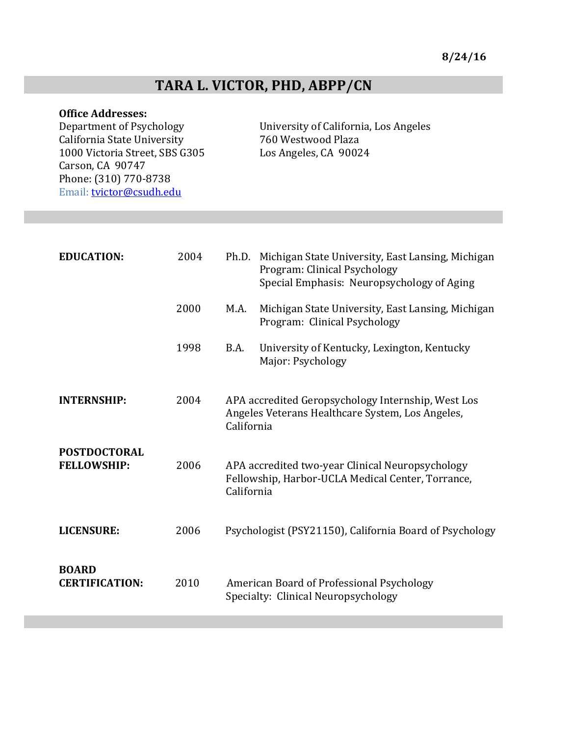# TARA L. VICTOR, PHD, ABPP/CN

**Office Addresses:**<br>Department of Psychology California State University 760 Westwood Plaza 1000 Victoria Street, SBS G305 Los Angeles, CA 90024 Carson, CA 90747 Phone: (310) 770-8738 Email: **tvictor@csudh.edu** 

University of California, Los Angeles

| <b>EDUCATION:</b>                         | 2004 | Ph.D.<br>Michigan State University, East Lansing, Michigan<br>Program: Clinical Psychology<br>Special Emphasis: Neuropsychology of Aging |
|-------------------------------------------|------|------------------------------------------------------------------------------------------------------------------------------------------|
|                                           | 2000 | M.A.<br>Michigan State University, East Lansing, Michigan<br>Program: Clinical Psychology                                                |
|                                           | 1998 | University of Kentucky, Lexington, Kentucky<br>B.A.<br>Major: Psychology                                                                 |
| <b>INTERNSHIP:</b>                        | 2004 | APA accredited Geropsychology Internship, West Los<br>Angeles Veterans Healthcare System, Los Angeles,<br>California                     |
| <b>POSTDOCTORAL</b><br><b>FELLOWSHIP:</b> | 2006 | APA accredited two-year Clinical Neuropsychology<br>Fellowship, Harbor-UCLA Medical Center, Torrance,<br>California                      |
| <b>LICENSURE:</b>                         | 2006 | Psychologist (PSY21150), California Board of Psychology                                                                                  |
| <b>BOARD</b><br><b>CERTIFICATION:</b>     | 2010 | American Board of Professional Psychology<br>Specialty: Clinical Neuropsychology                                                         |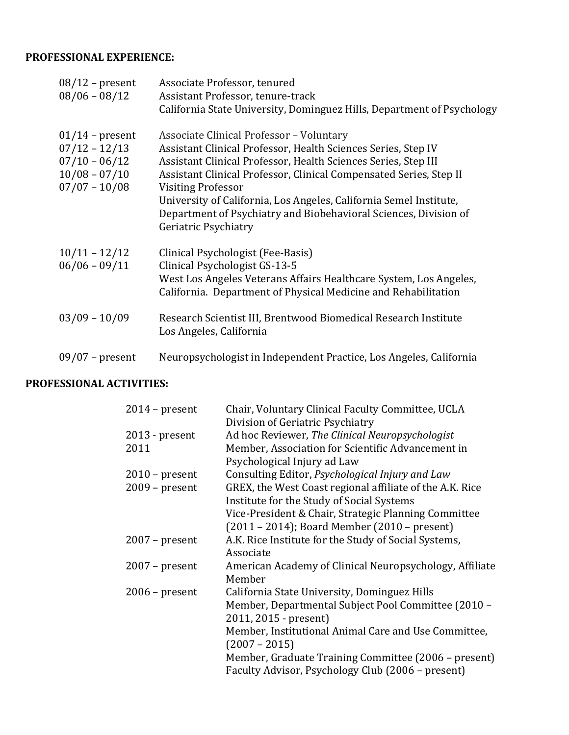# **PROFESSIONAL EXPERIENCE:**

| $08/12$ – present<br>$08/06 - 08/12$                                                          | Associate Professor, tenured<br>Assistant Professor, tenure-track<br>California State University, Dominguez Hills, Department of Psychology                                                                                                                                                                                                                                                                                                             |
|-----------------------------------------------------------------------------------------------|---------------------------------------------------------------------------------------------------------------------------------------------------------------------------------------------------------------------------------------------------------------------------------------------------------------------------------------------------------------------------------------------------------------------------------------------------------|
| $01/14$ – present<br>$07/12 - 12/13$<br>$07/10 - 06/12$<br>$10/08 - 07/10$<br>$07/07 - 10/08$ | <b>Associate Clinical Professor - Voluntary</b><br>Assistant Clinical Professor, Health Sciences Series, Step IV<br>Assistant Clinical Professor, Health Sciences Series, Step III<br>Assistant Clinical Professor, Clinical Compensated Series, Step II<br><b>Visiting Professor</b><br>University of California, Los Angeles, California Semel Institute,<br>Department of Psychiatry and Biobehavioral Sciences, Division of<br>Geriatric Psychiatry |
| $10/11 - 12/12$<br>$06/06 - 09/11$                                                            | Clinical Psychologist (Fee-Basis)<br>Clinical Psychologist GS-13-5<br>West Los Angeles Veterans Affairs Healthcare System, Los Angeles,<br>California. Department of Physical Medicine and Rehabilitation                                                                                                                                                                                                                                               |
| $03/09 - 10/09$                                                                               | Research Scientist III, Brentwood Biomedical Research Institute<br>Los Angeles, California                                                                                                                                                                                                                                                                                                                                                              |
| $09/07$ – present                                                                             | Neuropsychologist in Independent Practice, Los Angeles, California                                                                                                                                                                                                                                                                                                                                                                                      |

# **PROFESSIONAL ACTIVITIES:**

| $2014$ – present | Chair, Voluntary Clinical Faculty Committee, UCLA        |
|------------------|----------------------------------------------------------|
|                  | Division of Geriatric Psychiatry                         |
| $2013$ - present | Ad hoc Reviewer, The Clinical Neuropsychologist          |
| 2011             | Member, Association for Scientific Advancement in        |
|                  | Psychological Injury ad Law                              |
| $2010$ – present | Consulting Editor, Psychological Injury and Law          |
| $2009$ – present | GREX, the West Coast regional affiliate of the A.K. Rice |
|                  | Institute for the Study of Social Systems                |
|                  | Vice-President & Chair, Strategic Planning Committee     |
|                  | (2011 - 2014); Board Member (2010 - present)             |
| $2007$ – present | A.K. Rice Institute for the Study of Social Systems,     |
|                  | Associate                                                |
| $2007$ – present | American Academy of Clinical Neuropsychology, Affiliate  |
|                  | Member                                                   |
| $2006$ – present | California State University, Dominguez Hills             |
|                  | Member, Departmental Subject Pool Committee (2010 -      |
|                  | 2011, 2015 - present)                                    |
|                  | Member, Institutional Animal Care and Use Committee,     |
|                  | $(2007 - 2015)$                                          |
|                  | Member, Graduate Training Committee (2006 – present)     |
|                  | Faculty Advisor, Psychology Club (2006 - present)        |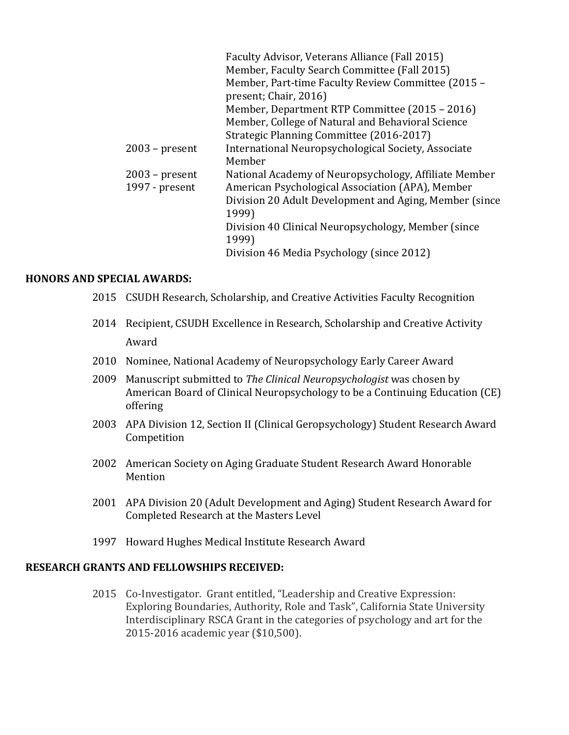|                  | Faculty Advisor, Veterans Alliance (Fall 2015)         |
|------------------|--------------------------------------------------------|
|                  | Member, Faculty Search Committee (Fall 2015)           |
|                  | Member, Part-time Faculty Review Committee (2015 -     |
|                  | present; Chair, 2016)                                  |
|                  | Member, Department RTP Committee (2015 – 2016)         |
|                  | Member, College of Natural and Behavioral Science      |
|                  | Strategic Planning Committee (2016-2017)               |
| $2003$ – present | International Neuropsychological Society, Associate    |
|                  | Member                                                 |
| $2003$ – present | National Academy of Neuropsychology, Affiliate Member  |
| 1997 - present   | American Psychological Association (APA), Member       |
|                  | Division 20 Adult Development and Aging, Member (since |
|                  | 1999)                                                  |
|                  | Division 40 Clinical Neuropsychology, Member (since)   |
|                  | 1999)                                                  |
|                  | Division 46 Media Psychology (since 2012)              |
|                  |                                                        |

#### **HONORS AND SPECIAL AWARDS:**

- 2015 CSUDH Research, Scholarship, and Creative Activities Faculty Recognition
- 2014 Recipient, CSUDH Excellence in Research, Scholarship and Creative Activity Award
- 2010 Nominee, National Academy of Neuropsychology Early Career Award
- 2009 Manuscript submitted to *The Clinical Neuropsychologist* was chosen by American Board of Clinical Neuropsychology to be a Continuing Education (CE) offering
- 2003 APA Division 12, Section II (Clinical Geropsychology) Student Research Award Competition
- 2002 American Society on Aging Graduate Student Research Award Honorable Mention
- 2001 APA Division 20 (Adult Development and Aging) Student Research Award for Completed Research at the Masters Level
- 1997 Howard Hughes Medical Institute Research Award

# **RESEARCH GRANTS AND FELLOWSHIPS RECEIVED:**

2015 Co-Investigator. Grant entitled, "Leadership and Creative Expression: Exploring Boundaries, Authority, Role and Task", California State University Interdisciplinary RSCA Grant in the categories of psychology and art for the 2015-2016 academic year (\$10,500).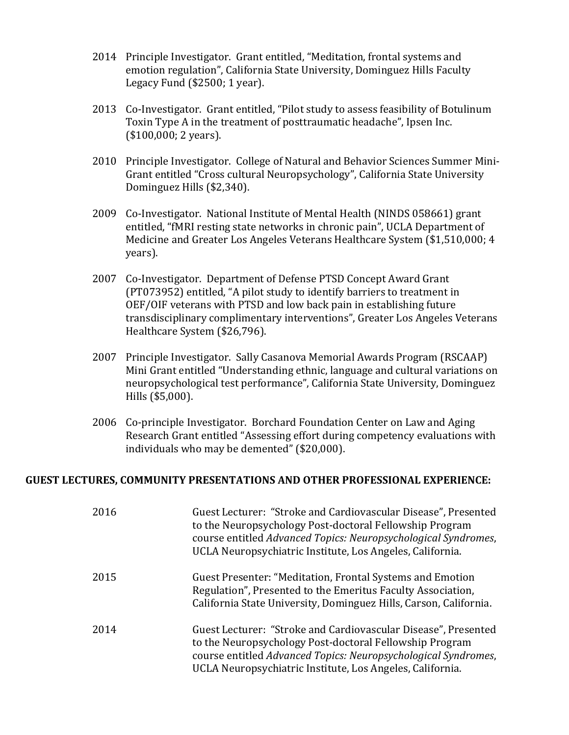- 2014 Principle Investigator. Grant entitled, "Meditation, frontal systems and emotion regulation", California State University, Dominguez Hills Faculty Legacy Fund  $(\$2500; 1 year)$ .
- 2013 Co-Investigator. Grant entitled, "Pilot study to assess feasibility of Botulinum Toxin Type A in the treatment of posttraumatic headache", Ipsen Inc.  $($100,000; 2 years).$
- 2010 Principle Investigator. College of Natural and Behavior Sciences Summer Mini-Grant entitled "Cross cultural Neuropsychology", California State University Dominguez Hills (\$2,340).
- 2009 Co-Investigator. National Institute of Mental Health (NINDS 058661) grant entitled, "fMRI resting state networks in chronic pain", UCLA Department of Medicine and Greater Los Angeles Veterans Healthcare System (\$1,510,000; 4 years).
- 2007 Co-Investigator. Department of Defense PTSD Concept Award Grant (PT073952) entitled, "A pilot study to identify barriers to treatment in OEF/OIF veterans with PTSD and low back pain in establishing future transdisciplinary complimentary interventions", Greater Los Angeles Veterans Healthcare System (\$26,796).
- 2007 Principle Investigator. Sally Casanova Memorial Awards Program (RSCAAP) Mini Grant entitled "Understanding ethnic, language and cultural variations on neuropsychological test performance", California State University, Dominguez Hills (\$5,000).
- 2006 Co-principle Investigator. Borchard Foundation Center on Law and Aging Research Grant entitled "Assessing effort during competency evaluations with individuals who may be demented" (\$20,000).

#### **GUEST LECTURES, COMMUNITY PRESENTATIONS AND OTHER PROFESSIONAL EXPERIENCE:**

| 2016 | Guest Lecturer: "Stroke and Cardiovascular Disease", Presented<br>to the Neuropsychology Post-doctoral Fellowship Program<br>course entitled Advanced Topics: Neuropsychological Syndromes,<br>UCLA Neuropsychiatric Institute, Los Angeles, California. |
|------|----------------------------------------------------------------------------------------------------------------------------------------------------------------------------------------------------------------------------------------------------------|
| 2015 | Guest Presenter: "Meditation, Frontal Systems and Emotion<br>Regulation", Presented to the Emeritus Faculty Association,<br>California State University, Dominguez Hills, Carson, California.                                                            |
| 2014 | Guest Lecturer: "Stroke and Cardiovascular Disease", Presented<br>to the Neuropsychology Post-doctoral Fellowship Program<br>course entitled Advanced Topics: Neuropsychological Syndromes,<br>UCLA Neuropsychiatric Institute, Los Angeles, California. |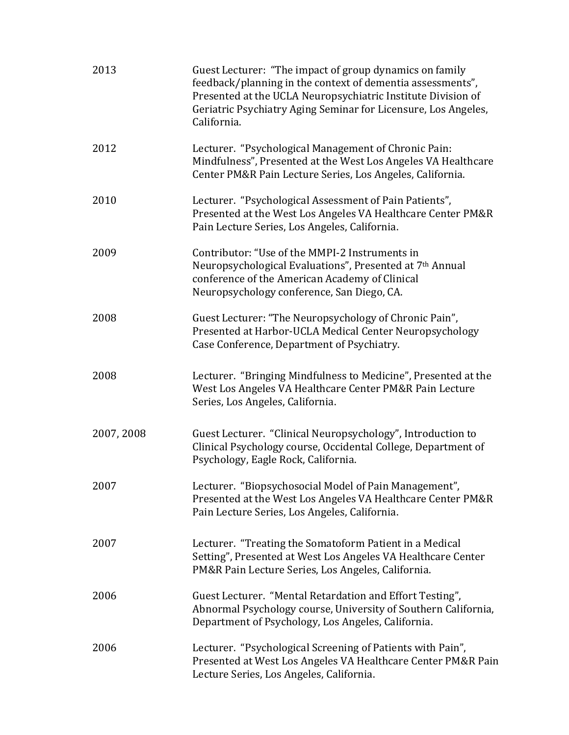| 2013       | Guest Lecturer: "The impact of group dynamics on family<br>feedback/planning in the context of dementia assessments",<br>Presented at the UCLA Neuropsychiatric Institute Division of<br>Geriatric Psychiatry Aging Seminar for Licensure, Los Angeles,<br>California. |
|------------|------------------------------------------------------------------------------------------------------------------------------------------------------------------------------------------------------------------------------------------------------------------------|
| 2012       | Lecturer. "Psychological Management of Chronic Pain:<br>Mindfulness", Presented at the West Los Angeles VA Healthcare<br>Center PM&R Pain Lecture Series, Los Angeles, California.                                                                                     |
| 2010       | Lecturer. "Psychological Assessment of Pain Patients",<br>Presented at the West Los Angeles VA Healthcare Center PM&R<br>Pain Lecture Series, Los Angeles, California.                                                                                                 |
| 2009       | Contributor: "Use of the MMPI-2 Instruments in<br>Neuropsychological Evaluations", Presented at 7th Annual<br>conference of the American Academy of Clinical<br>Neuropsychology conference, San Diego, CA.                                                             |
| 2008       | Guest Lecturer: "The Neuropsychology of Chronic Pain",<br>Presented at Harbor-UCLA Medical Center Neuropsychology<br>Case Conference, Department of Psychiatry.                                                                                                        |
| 2008       | Lecturer. "Bringing Mindfulness to Medicine", Presented at the<br>West Los Angeles VA Healthcare Center PM&R Pain Lecture<br>Series, Los Angeles, California.                                                                                                          |
| 2007, 2008 | Guest Lecturer. "Clinical Neuropsychology", Introduction to<br>Clinical Psychology course, Occidental College, Department of<br>Psychology, Eagle Rock, California.                                                                                                    |
| 2007       | Lecturer. "Biopsychosocial Model of Pain Management",<br>Presented at the West Los Angeles VA Healthcare Center PM&R<br>Pain Lecture Series, Los Angeles, California.                                                                                                  |
| 2007       | Lecturer. "Treating the Somatoform Patient in a Medical<br>Setting", Presented at West Los Angeles VA Healthcare Center<br>PM&R Pain Lecture Series, Los Angeles, California.                                                                                          |
| 2006       | Guest Lecturer. "Mental Retardation and Effort Testing",<br>Abnormal Psychology course, University of Southern California,<br>Department of Psychology, Los Angeles, California.                                                                                       |
| 2006       | Lecturer. "Psychological Screening of Patients with Pain",<br>Presented at West Los Angeles VA Healthcare Center PM&R Pain<br>Lecture Series, Los Angeles, California.                                                                                                 |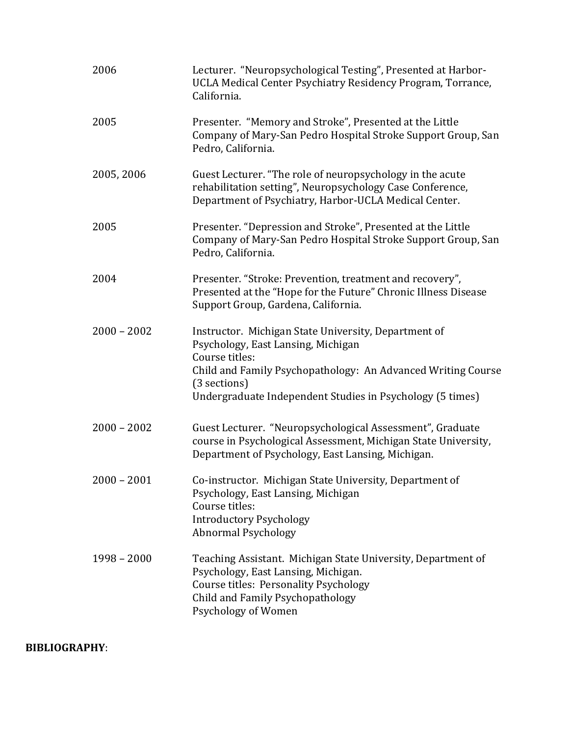| 2006          | Lecturer. "Neuropsychological Testing", Presented at Harbor-<br>UCLA Medical Center Psychiatry Residency Program, Torrance,<br>California.                                                                                                                |
|---------------|-----------------------------------------------------------------------------------------------------------------------------------------------------------------------------------------------------------------------------------------------------------|
| 2005          | Presenter. "Memory and Stroke", Presented at the Little<br>Company of Mary-San Pedro Hospital Stroke Support Group, San<br>Pedro, California.                                                                                                             |
| 2005, 2006    | Guest Lecturer. "The role of neuropsychology in the acute<br>rehabilitation setting", Neuropsychology Case Conference,<br>Department of Psychiatry, Harbor-UCLA Medical Center.                                                                           |
| 2005          | Presenter. "Depression and Stroke", Presented at the Little<br>Company of Mary-San Pedro Hospital Stroke Support Group, San<br>Pedro, California.                                                                                                         |
| 2004          | Presenter. "Stroke: Prevention, treatment and recovery",<br>Presented at the "Hope for the Future" Chronic Illness Disease<br>Support Group, Gardena, California.                                                                                         |
| $2000 - 2002$ | Instructor. Michigan State University, Department of<br>Psychology, East Lansing, Michigan<br>Course titles:<br>Child and Family Psychopathology: An Advanced Writing Course<br>(3 sections)<br>Undergraduate Independent Studies in Psychology (5 times) |
| $2000 - 2002$ | Guest Lecturer. "Neuropsychological Assessment", Graduate<br>course in Psychological Assessment, Michigan State University,<br>Department of Psychology, East Lansing, Michigan.                                                                          |
| $2000 - 2001$ | Co-instructor. Michigan State University, Department of<br>Psychology, East Lansing, Michigan<br>Course titles:<br><b>Introductory Psychology</b><br><b>Abnormal Psychology</b>                                                                           |
| $1998 - 2000$ | Teaching Assistant. Michigan State University, Department of<br>Psychology, East Lansing, Michigan.<br><b>Course titles: Personality Psychology</b><br>Child and Family Psychopathology<br>Psychology of Women                                            |

# **BIBLIOGRAPHY**: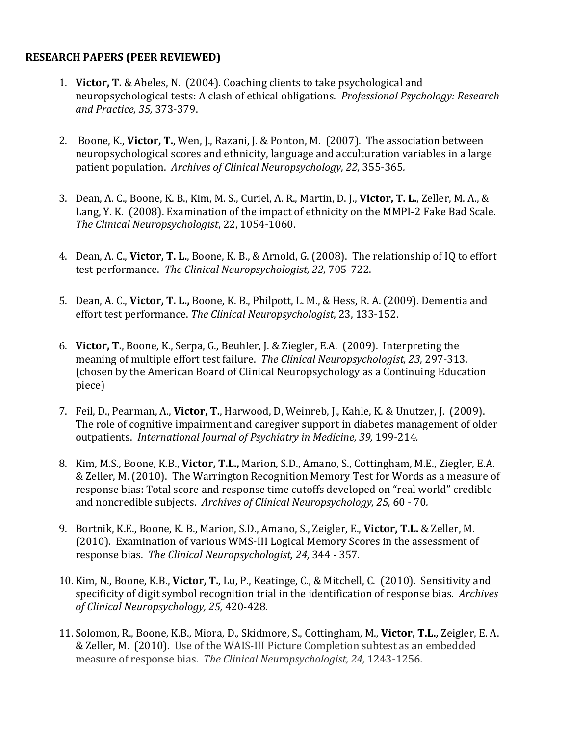## **RESEARCH PAPERS (PEER REVIEWED)**

- 1. **Victor, T.** & Abeles, N. (2004). Coaching clients to take psychological and neuropsychological tests: A clash of ethical obligations. *Professional Psychology: Research and Practice, 35,* 373-379.
- 2. Boone, K., Victor, T., Wen, J., Razani, J. & Ponton, M. (2007). The association between neuropsychological scores and ethnicity, language and acculturation variables in a large patient population. Archives of Clinical Neuropsychology, 22, 355-365.
- 3. Dean, A. C., Boone, K. B., Kim, M. S., Curiel, A. R., Martin, D. J., Victor, T. L., Zeller, M. A., & Lang, Y. K. (2008). Examination of the impact of ethnicity on the MMPI-2 Fake Bad Scale. *The Clinical Neuropsychologist*, 22, 1054-1060.
- 4. Dean, A. C., **Victor, T. L.**, Boone, K. B., & Arnold, G. (2008). The relationship of IQ to effort test performance. *The Clinical Neuropsychologist, 22,* 705-722.
- 5. Dean, A. C., Victor, T. L., Boone, K. B., Philpott, L. M., & Hess, R. A. (2009). Dementia and effort test performance. The Clinical Neuropsychologist, 23, 133-152.
- 6. **Victor, T.**, Boone, K., Serpa, G., Beuhler, J. & Ziegler, E.A. (2009). Interpreting the meaning of multiple effort test failure. The Clinical Neuropsychologist, 23, 297-313. (chosen by the American Board of Clinical Neuropsychology as a Continuing Education piece)
- 7. Feil, D., Pearman, A., Victor, T., Harwood, D. Weinreb, J., Kahle, K. & Unutzer, J. (2009). The role of cognitive impairment and caregiver support in diabetes management of older outpatients. *International Journal of Psychiatry in Medicine, 39,* 199-214*.*
- 8. Kim, M.S., Boone, K.B., **Victor, T.L.,** Marion, S.D., Amano, S., Cottingham, M.E., Ziegler, E.A. & Zeller, M. (2010). The Warrington Recognition Memory Test for Words as a measure of response bias: Total score and response time cutoffs developed on "real world" credible and noncredible subjects. Archives of Clinical Neuropsychology, 25, 60 - 70.
- 9. Bortnik, K.E., Boone, K. B., Marion, S.D., Amano, S., Zeigler, E., Victor, T.L. & Zeller, M. (2010). Examination of various WMS-III Logical Memory Scores in the assessment of response bias. The Clinical Neuropsychologist, 24, 344 - 357.
- 10. Kim, N., Boone, K.B., **Victor, T.**, Lu, P., Keatinge, C., & Mitchell, C. (2010). Sensitivity and specificity of digit symbol recognition trial in the identification of response bias. Archives *of Clinical Neuropsychology, 25,* 420-428*.*
- 11. Solomon, R., Boone, K.B., Miora, D., Skidmore, S., Cottingham, M., Victor, T.L., Zeigler, E. A. & Zeller, M. (2010). Use of the WAIS-III Picture Completion subtest as an embedded measure of response bias. The Clinical Neuropsychologist, 24, 1243-1256.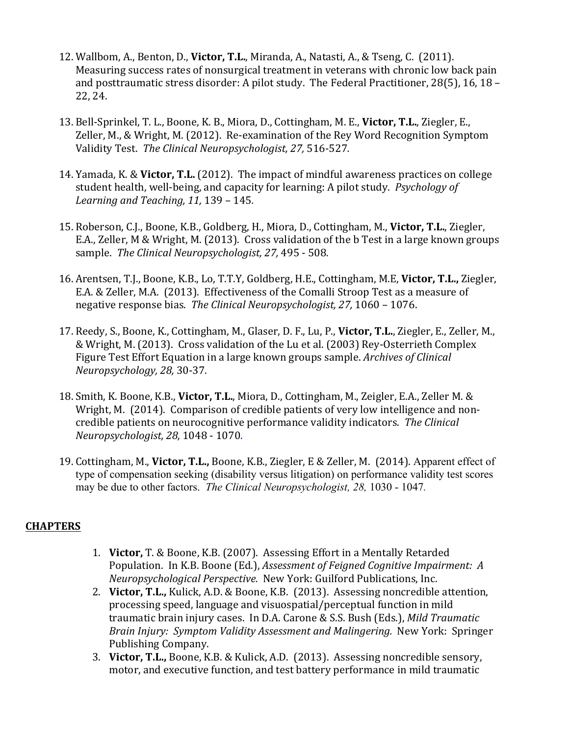- 12. Wallbom, A., Benton, D., **Victor, T.L.**, Miranda, A., Natasti, A., & Tseng, C. (2011). Measuring success rates of nonsurgical treatment in veterans with chronic low back pain and posttraumatic stress disorder: A pilot study. The Federal Practitioner, 28(5), 16, 18 – 22, 24.
- 13. Bell-Sprinkel, T. L., Boone, K. B., Miora, D., Cottingham, M. E., Victor, T.L., Ziegler, E., Zeller, M., & Wright, M. (2012). Re-examination of the Rey Word Recognition Symptom Validity Test. *The Clinical Neuropsychologist, 27,* 516-527*.*
- 14. Yamada, K. & **Victor, T.L.** (2012). The impact of mindful awareness practices on college student health, well-being, and capacity for learning: A pilot study. Psychology of *Learning and Teaching, 11, 139 - 145.*
- 15. Roberson, C.J., Boone, K.B., Goldberg, H., Miora, D., Cottingham, M., Victor, T.L., Ziegler, E.A., Zeller, M & Wright, M. (2013). Cross validation of the b Test in a large known groups sample. The Clinical Neuropsychologist, 27, 495 - 508.
- 16. Arentsen, T.J., Boone, K.B., Lo, T.T.Y, Goldberg, H.E., Cottingham, M.E, Victor, T.L., Ziegler, E.A. & Zeller, M.A. (2013). Effectiveness of the Comalli Stroop Test as a measure of negative response bias. The Clinical Neuropsychologist, 27, 1060 - 1076.
- 17. Reedy, S., Boone, K., Cottingham, M., Glaser, D. F., Lu, P., Victor, T.L., Ziegler, E., Zeller, M., & Wright, M. (2013). Cross validation of the Lu et al. (2003) Rey-Osterrieth Complex Figure Test Effort Equation in a large known groups sample. *Archives of Clinical Neuropsychology, 28,* 30-37*.*
- 18. Smith, K. Boone, K.B., Victor, T.L., Miora, D., Cottingham, M., Zeigler, E.A., Zeller M. & Wright, M. (2014). Comparison of credible patients of very low intelligence and noncredible patients on neurocognitive performance validity indicators. The Clinical *Neuropsychologist, 28,* 1048 - 1070.
- 19. Cottingham, M., Victor, T.L., Boone, K.B., Ziegler, E & Zeller, M. (2014). Apparent effect of type of compensation seeking (disability versus litigation) on performance validity test scores may be due to other factors. *The Clinical Neuropsychologist, 28,* 1030 - 1047*.*

# **CHAPTERS**

- 1. **Victor,** T. & Boone, K.B. (2007). Assessing Effort in a Mentally Retarded Population. In K.B. Boone (Ed.), *Assessment of Feigned Cognitive Impairment: A Neuropsychological Perspective.* New York: Guilford Publications, Inc.
- 2. Victor, T.L., Kulick, A.D. & Boone, K.B. (2013). Assessing noncredible attention, processing speed, language and visuospatial/perceptual function in mild traumatic brain injury cases. In D.A. Carone & S.S. Bush (Eds.), *Mild Traumatic Brain Injury: Symptom Validity Assessment and Malingering.* New York: Springer Publishing Company.
- 3. Victor, T.L., Boone, K.B. & Kulick, A.D. (2013). Assessing noncredible sensory, motor, and executive function, and test battery performance in mild traumatic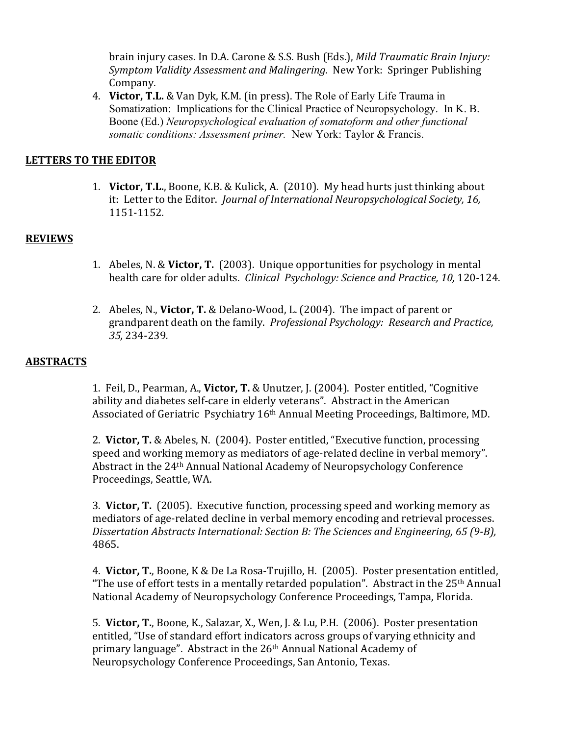brain injury cases. In D.A. Carone & S.S. Bush (Eds.), *Mild Traumatic Brain Injury: Symptom Validity Assessment and Malingering.* New York: Springer Publishing Company.

4. **Victor, T.L.** & Van Dyk, K.M. (in press). The Role of Early Life Trauma in Somatization: Implications for the Clinical Practice of Neuropsychology. In K. B. Boone (Ed.) *Neuropsychological evaluation of somatoform and other functional somatic conditions: Assessment primer.* New York: Taylor & Francis.

### LETTERS TO THE EDITOR

1. **Victor, T.L.**, Boone, K.B. & Kulick, A. (2010). My head hurts just thinking about it: Letter to the Editor. *Journal of International Neuropsychological Society*, 16, 1151-1152*.* 

#### **REVIEWS**

- 1. Abeles, N. & **Victor, T.** (2003). Unique opportunities for psychology in mental health care for older adults. *Clinical Psychology: Science and Practice, 10, 120-124.*
- 2. Abeles, N., **Victor, T.** & Delano-Wood, L. (2004). The impact of parent or erandparent death on the family. *Professional Psychology: Research and Practice, 35,* 234-239*.*

#### **ABSTRACTS**

1. Feil, D., Pearman, A., Victor, T. & Unutzer, J. (2004). Poster entitled, "Cognitive ability and diabetes self-care in elderly veterans". Abstract in the American Associated of Geriatric Psychiatry 16<sup>th</sup> Annual Meeting Proceedings, Baltimore, MD.

2. **Victor, T.** & Abeles, N. (2004). Poster entitled, "Executive function, processing speed and working memory as mediators of age-related decline in verbal memory". Abstract in the 24<sup>th</sup> Annual National Academy of Neuropsychology Conference Proceedings, Seattle, WA.

3. **Victor, T.** (2005). Executive function, processing speed and working memory as mediators of age-related decline in verbal memory encoding and retrieval processes. *Dissertation Abstracts International: Section B: The Sciences and Engineering, 65 (9-B),* 4865.

4. Victor, T., Boone, K & De La Rosa-Trujillo, H. (2005). Poster presentation entitled, "The use of effort tests in a mentally retarded population". Abstract in the  $25<sup>th</sup>$  Annual National Academy of Neuropsychology Conference Proceedings, Tampa, Florida.

5. Victor, T., Boone, K., Salazar, X., Wen, J. & Lu, P.H. (2006). Poster presentation entitled, "Use of standard effort indicators across groups of varying ethnicity and primary language". Abstract in the  $26<sup>th</sup>$  Annual National Academy of Neuropsychology Conference Proceedings, San Antonio, Texas.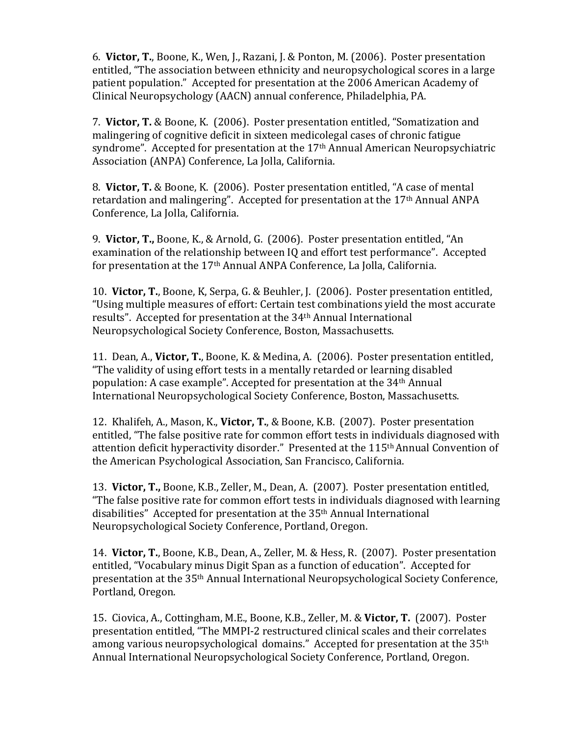6. Victor, T., Boone, K., Wen, J., Razani, J. & Ponton, M. (2006). Poster presentation entitled, "The association between ethnicity and neuropsychological scores in a large patient population." Accepted for presentation at the 2006 American Academy of Clinical Neuropsychology (AACN) annual conference, Philadelphia, PA.

7. Victor, T. & Boone, K. (2006). Poster presentation entitled, "Somatization and malingering of cognitive deficit in sixteen medicolegal cases of chronic fatigue syndrome". Accepted for presentation at the 17<sup>th</sup> Annual American Neuropsychiatric Association (ANPA) Conference, La Jolla, California.

8. **Victor, T.** & Boone, K. (2006). Poster presentation entitled, "A case of mental retardation and malingering". Accepted for presentation at the 17<sup>th</sup> Annual ANPA Conference, La Jolla, California.

9. Victor, T., Boone, K., & Arnold, G. (2006). Poster presentation entitled, "An examination of the relationship between IQ and effort test performance". Accepted for presentation at the 17<sup>th</sup> Annual ANPA Conference, La Jolla, California.

10. Victor, T., Boone, K. Serpa, G. & Beuhler, J. (2006). Poster presentation entitled, "Using multiple measures of effort: Certain test combinations yield the most accurate results". Accepted for presentation at the 34<sup>th</sup> Annual International Neuropsychological Society Conference, Boston, Massachusetts.

11. Dean, A., Victor, T., Boone, K. & Medina, A. (2006). Poster presentation entitled, "The validity of using effort tests in a mentally retarded or learning disabled population: A case example". Accepted for presentation at the 34<sup>th</sup> Annual International Neuropsychological Society Conference, Boston, Massachusetts.

12. Khalifeh, A., Mason, K., Victor, T., & Boone, K.B. (2007). Poster presentation entitled, "The false positive rate for common effort tests in individuals diagnosed with attention deficit hyperactivity disorder." Presented at the 115<sup>th</sup> Annual Convention of the American Psychological Association, San Francisco, California.

13. Victor, T., Boone, K.B., Zeller, M., Dean, A. (2007). Poster presentation entitled, "The false positive rate for common effort tests in individuals diagnosed with learning disabilities" Accepted for presentation at the 35<sup>th</sup> Annual International Neuropsychological Society Conference, Portland, Oregon.

14. Victor, T., Boone, K.B., Dean, A., Zeller, M. & Hess, R. (2007). Poster presentation entitled, "Vocabulary minus Digit Span as a function of education". Accepted for presentation at the 35<sup>th</sup> Annual International Neuropsychological Society Conference, Portland, Oregon.

15. Ciovica, A., Cottingham, M.E., Boone, K.B., Zeller, M. & Victor, T. (2007). Poster presentation entitled, "The MMPI-2 restructured clinical scales and their correlates among various neuropsychological domains." Accepted for presentation at the  $35<sup>th</sup>$ Annual International Neuropsychological Society Conference, Portland, Oregon.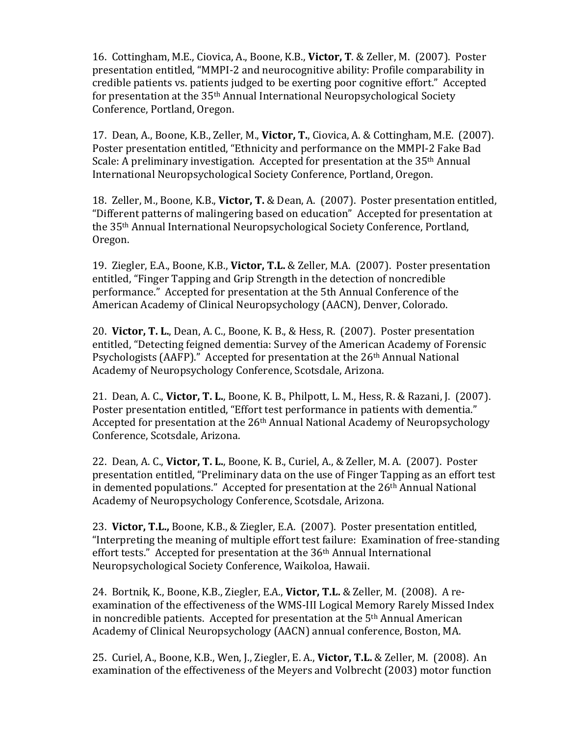16. Cottingham, M.E., Ciovica, A., Boone, K.B., Victor, T. & Zeller, M. (2007). Poster presentation entitled, "MMPI-2 and neurocognitive ability: Profile comparability in credible patients vs. patients judged to be exerting poor cognitive effort." Accepted for presentation at the  $35<sup>th</sup>$  Annual International Neuropsychological Society Conference, Portland, Oregon.

17. Dean, A., Boone, K.B., Zeller, M., Victor, T., Ciovica, A. & Cottingham, M.E. (2007). Poster presentation entitled, "Ethnicity and performance on the MMPI-2 Fake Bad Scale: A preliminary investigation. Accepted for presentation at the  $35<sup>th</sup>$  Annual International Neuropsychological Society Conference, Portland, Oregon.

18. Zeller, M., Boone, K.B., **Victor, T.** & Dean, A. (2007). Poster presentation entitled, "Different patterns of malingering based on education" Accepted for presentation at the 35<sup>th</sup> Annual International Neuropsychological Society Conference, Portland, Oregon.

19. Ziegler, E.A., Boone, K.B., Victor, T.L. & Zeller, M.A. (2007). Poster presentation entitled, "Finger Tapping and Grip Strength in the detection of noncredible performance." Accepted for presentation at the 5th Annual Conference of the American Academy of Clinical Neuropsychology (AACN), Denver, Colorado.

20. **Victor, T. L.**, Dean, A. C., Boone, K. B., & Hess, R. (2007). Poster presentation entitled, "Detecting feigned dementia: Survey of the American Academy of Forensic Psychologists (AAFP)." Accepted for presentation at the  $26<sup>th</sup>$  Annual National Academy of Neuropsychology Conference, Scotsdale, Arizona.

21. Dean, A. C., **Victor, T. L.**, Boone, K. B., Philpott, L. M., Hess, R. & Razani, J. (2007). Poster presentation entitled, "Effort test performance in patients with dementia." Accepted for presentation at the 26<sup>th</sup> Annual National Academy of Neuropsychology Conference, Scotsdale, Arizona.

22. Dean, A. C., Victor, T. L., Boone, K. B., Curiel, A., & Zeller, M. A. (2007). Poster presentation entitled, "Preliminary data on the use of Finger Tapping as an effort test in demented populations." Accepted for presentation at the  $26<sup>th</sup>$  Annual National Academy of Neuropsychology Conference, Scotsdale, Arizona.

23. **Victor, T.L.,** Boone, K.B., & Ziegler, E.A. (2007). Poster presentation entitled, "Interpreting the meaning of multiple effort test failure: Examination of free-standing effort tests." Accepted for presentation at the  $36<sup>th</sup>$  Annual International Neuropsychological Society Conference, Waikoloa, Hawaii.

24. Bortnik, K., Boone, K.B., Ziegler, E.A., Victor, T.L. & Zeller, M. (2008). A reexamination of the effectiveness of the WMS-III Logical Memory Rarely Missed Index in noncredible patients. Accepted for presentation at the  $5<sup>th</sup>$  Annual American Academy of Clinical Neuropsychology (AACN) annual conference, Boston, MA.

25. Curiel, A., Boone, K.B., Wen, J., Ziegler, E. A., Victor, T.L. & Zeller, M. (2008). An examination of the effectiveness of the Meyers and Volbrecht (2003) motor function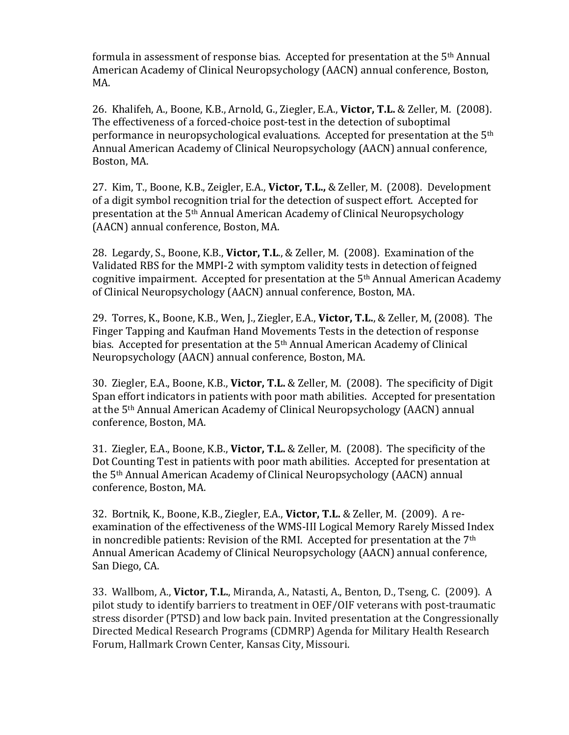formula in assessment of response bias. Accepted for presentation at the  $5<sup>th</sup>$  Annual American Academy of Clinical Neuropsychology (AACN) annual conference, Boston, MA.

26. Khalifeh, A., Boone, K.B., Arnold, G., Ziegler, E.A., Victor, T.L. & Zeller, M. (2008). The effectiveness of a forced-choice post-test in the detection of suboptimal performance in neuropsychological evaluations. Accepted for presentation at the  $5<sup>th</sup>$ Annual American Academy of Clinical Neuropsychology (AACN) annual conference, Boston, MA.

27. Kim, T., Boone, K.B., Zeigler, E.A., Victor, T.L., & Zeller, M. (2008). Development of a digit symbol recognition trial for the detection of suspect effort. Accepted for presentation at the 5<sup>th</sup> Annual American Academy of Clinical Neuropsychology (AACN) annual conference, Boston, MA.

28. Legardy, S., Boone, K.B., **Victor, T.L.**, & Zeller, M. (2008). Examination of the Validated RBS for the MMPI-2 with symptom validity tests in detection of feigned cognitive impairment. Accepted for presentation at the  $5<sup>th</sup>$  Annual American Academy of Clinical Neuropsychology (AACN) annual conference, Boston, MA.

29. Torres, K., Boone, K.B., Wen, J., Ziegler, E.A., Victor, T.L., & Zeller, M. (2008). The Finger Tapping and Kaufman Hand Movements Tests in the detection of response bias. Accepted for presentation at the  $5<sup>th</sup>$  Annual American Academy of Clinical Neuropsychology (AACN) annual conference, Boston, MA.

30. Ziegler, E.A., Boone, K.B., **Victor, T.L.** & Zeller, M. (2008). The specificity of Digit Span effort indicators in patients with poor math abilities. Accepted for presentation at the 5<sup>th</sup> Annual American Academy of Clinical Neuropsychology (AACN) annual conference, Boston, MA.

31. Ziegler, E.A., Boone, K.B., **Victor, T.L.** & Zeller, M. (2008). The specificity of the Dot Counting Test in patients with poor math abilities. Accepted for presentation at the 5<sup>th</sup> Annual American Academy of Clinical Neuropsychology (AACN) annual conference, Boston, MA.

32. Bortnik, K., Boone, K.B., Ziegler, E.A., Victor, T.L. & Zeller, M. (2009). A reexamination of the effectiveness of the WMS-III Logical Memory Rarely Missed Index in noncredible patients: Revision of the RMI. Accepted for presentation at the  $7<sup>th</sup>$ Annual American Academy of Clinical Neuropsychology (AACN) annual conference, San Diego, CA.

33. Wallbom, A., Victor, T.L., Miranda, A., Natasti, A., Benton, D., Tseng, C. (2009). A pilot study to identify barriers to treatment in OEF/OIF veterans with post-traumatic stress disorder (PTSD) and low back pain. Invited presentation at the Congressionally Directed Medical Research Programs (CDMRP) Agenda for Military Health Research Forum, Hallmark Crown Center, Kansas City, Missouri.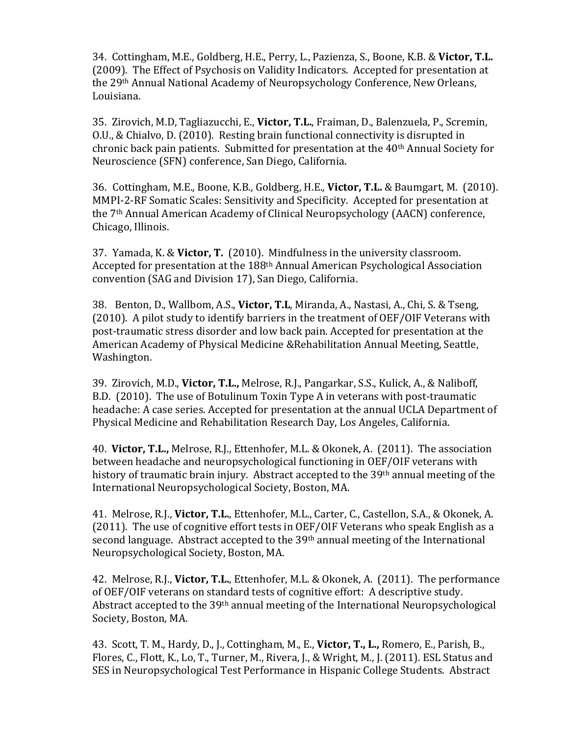34. Cottingham, M.E., Goldberg, H.E., Perry, L., Pazienza, S., Boone, K.B. & Victor, T.L. (2009). The Effect of Psychosis on Validity Indicators. Accepted for presentation at the 29<sup>th</sup> Annual National Academy of Neuropsychology Conference, New Orleans, Louisiana.

35. Zirovich, M.D, Tagliazucchi, E., Victor, T.L., Fraiman, D., Balenzuela, P., Scremin, O.U., & Chialvo, D. (2010). Resting brain functional connectivity is disrupted in chronic back pain patients. Submitted for presentation at the 40<sup>th</sup> Annual Society for Neuroscience (SFN) conference, San Diego, California.

36. Cottingham, M.E., Boone, K.B., Goldberg, H.E., Victor, T.L. & Baumgart, M. (2010). MMPI-2-RF Somatic Scales: Sensitivity and Specificity. Accepted for presentation at the 7<sup>th</sup> Annual American Academy of Clinical Neuropsychology (AACN) conference, Chicago, Illinois.

37. Yamada, K. & **Victor, T.** (2010). Mindfulness in the university classroom. Accepted for presentation at the 188<sup>th</sup> Annual American Psychological Association convention (SAG and Division 17), San Diego, California.

38. Benton, D., Wallbom, A.S., **Victor, T.L**, Miranda, A., Nastasi, A., Chi, S. & Tseng, (2010). A pilot study to identify barriers in the treatment of OEF/OIF Veterans with post-traumatic stress disorder and low back pain. Accepted for presentation at the American Academy of Physical Medicine &Rehabilitation Annual Meeting, Seattle, Washington.

39. Zirovich, M.D., Victor, T.L., Melrose, R.J., Pangarkar, S.S., Kulick, A., & Naliboff, B.D. (2010). The use of Botulinum Toxin Type A in veterans with post-traumatic headache: A case series. Accepted for presentation at the annual UCLA Department of Physical Medicine and Rehabilitation Research Day, Los Angeles, California.

40. **Victor, T.L.,** Melrose, R.J., Ettenhofer, M.L. & Okonek, A. (2011). The association between headache and neuropsychological functioning in OEF/OIF veterans with history of traumatic brain injury. Abstract accepted to the  $39<sup>th</sup>$  annual meeting of the International Neuropsychological Society, Boston, MA.

41. Melrose, R.J., Victor, T.L., Ettenhofer, M.L., Carter, C., Castellon, S.A., & Okonek, A. (2011). The use of cognitive effort tests in OEF/OIF Veterans who speak English as a second language. Abstract accepted to the  $39<sup>th</sup>$  annual meeting of the International Neuropsychological Society, Boston, MA.

42. Melrose, R.J., **Victor, T.L.**, Ettenhofer, M.L. & Okonek, A. (2011). The performance of OEF/OIF veterans on standard tests of cognitive effort: A descriptive study. Abstract accepted to the  $39<sup>th</sup>$  annual meeting of the International Neuropsychological Society, Boston, MA.

43. Scott, T. M., Hardy, D., J., Cottingham, M., E., Victor, T., L., Romero, E., Parish, B., Flores, C., Flott, K., Lo, T., Turner, M., Rivera, J., & Wright, M., J. (2011). ESL Status and SES in Neuropsychological Test Performance in Hispanic College Students. Abstract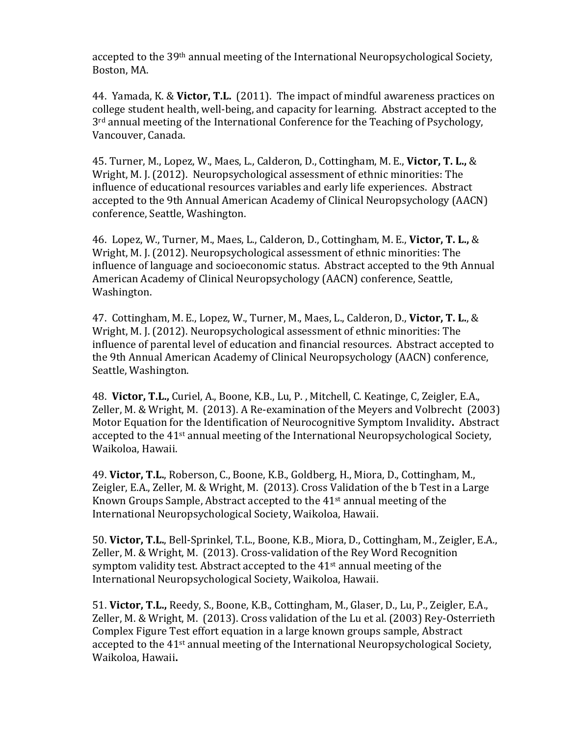accepted to the 39<sup>th</sup> annual meeting of the International Neuropsychological Society, Boston, MA.

44. Yamada, K. & **Victor, T.L.** (2011). The impact of mindful awareness practices on college student health, well-being, and capacity for learning. Abstract accepted to the  $3<sup>rd</sup>$  annual meeting of the International Conference for the Teaching of Psychology, Vancouver, Canada.

45. Turner, M., Lopez, W., Maes, L., Calderon, D., Cottingham, M. E., Victor, T. L., & Wright, M. J. (2012). Neuropsychological assessment of ethnic minorities: The influence of educational resources variables and early life experiences. Abstract accepted to the 9th Annual American Academy of Clinical Neuropsychology (AACN) conference, Seattle, Washington.

46. Lopez, W., Turner, M., Maes, L., Calderon, D., Cottingham, M. E., Victor, T. L., & Wright, M. J. (2012). Neuropsychological assessment of ethnic minorities: The influence of language and socioeconomic status. Abstract accepted to the 9th Annual American Academy of Clinical Neuropsychology (AACN) conference, Seattle, Washington.

47. Cottingham, M. E., Lopez, W., Turner, M., Maes, L., Calderon, D., Victor, T. L., & Wright, M. J. (2012). Neuropsychological assessment of ethnic minorities: The influence of parental level of education and financial resources. Abstract accepted to the 9th Annual American Academy of Clinical Neuropsychology (AACN) conference, Seattle, Washington.

48. Victor, T.L., Curiel, A., Boone, K.B., Lu, P., Mitchell, C. Keatinge, C, Zeigler, E.A., Zeller, M. & Wright, M.  $(2013)$ . A Re-examination of the Meyers and Volbrecht  $(2003)$ Motor Equation for the Identification of Neurocognitive Symptom Invalidity. Abstract accepted to the  $41$ <sup>st</sup> annual meeting of the International Neuropsychological Society, Waikoloa, Hawaii.

49. Victor, T.L., Roberson, C., Boone, K.B., Goldberg, H., Miora, D., Cottingham, M., Zeigler, E.A., Zeller, M. & Wright, M. (2013). Cross Validation of the b Test in a Large Known Groups Sample, Abstract accepted to the  $41<sup>st</sup>$  annual meeting of the International Neuropsychological Society, Waikoloa, Hawaii.

50. Victor, T.L., Bell-Sprinkel, T.L., Boone, K.B., Miora, D., Cottingham, M., Zeigler, E.A., Zeller, M. & Wright, M. (2013). Cross-validation of the Rey Word Recognition symptom validity test. Abstract accepted to the  $41<sup>st</sup>$  annual meeting of the International Neuropsychological Society, Waikoloa, Hawaii.

51. **Victor, T.L.,** Reedy, S., Boone, K.B., Cottingham, M., Glaser, D., Lu, P., Zeigler, E.A., Zeller, M. & Wright, M. (2013). Cross validation of the Lu et al. (2003) Rey-Osterrieth Complex Figure Test effort equation in a large known groups sample, Abstract accepted to the  $41$ <sup>st</sup> annual meeting of the International Neuropsychological Society, Waikoloa, Hawaii**.**